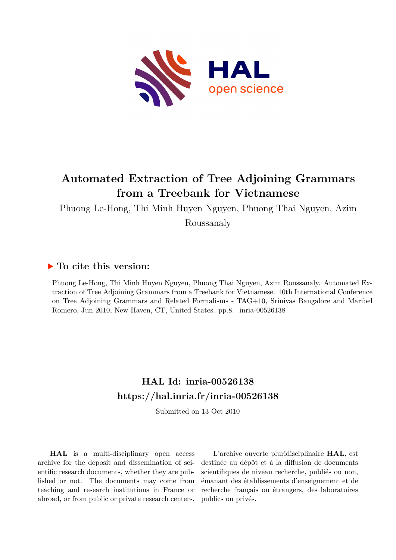

# **Automated Extraction of Tree Adjoining Grammars from a Treebank for Vietnamese**

Phuong Le-Hong, Thi Minh Huyen Nguyen, Phuong Thai Nguyen, Azim Roussanaly

## **To cite this version:**

Phuong Le-Hong, Thi Minh Huyen Nguyen, Phuong Thai Nguyen, Azim Roussanaly. Automated Extraction of Tree Adjoining Grammars from a Treebank for Vietnamese. 10th International Conference on Tree Adjoining Grammars and Related Formalisms - TAG+10, Srinivas Bangalore and Maribel Romero, Jun 2010, New Haven, CT, United States. pp.8. inria-00526138

# **HAL Id: inria-00526138 <https://hal.inria.fr/inria-00526138>**

Submitted on 13 Oct 2010

**HAL** is a multi-disciplinary open access archive for the deposit and dissemination of scientific research documents, whether they are published or not. The documents may come from teaching and research institutions in France or abroad, or from public or private research centers.

L'archive ouverte pluridisciplinaire **HAL**, est destinée au dépôt et à la diffusion de documents scientifiques de niveau recherche, publiés ou non, émanant des établissements d'enseignement et de recherche français ou étrangers, des laboratoires publics ou privés.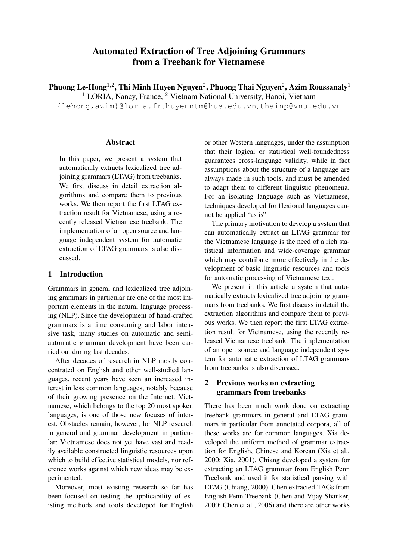## **Automated Extraction of Tree Adjoining Grammars from a Treebank for Vietnamese**

**Phuong Le-Hong**<sup>1</sup>,<sup>2</sup> **, Thi Minh Huyen Nguyen**<sup>2</sup> **, Phuong Thai Nguyen**<sup>2</sup> **, Azim Roussanaly**<sup>1</sup>

<sup>1</sup> LORIA, Nancy, France, <sup>2</sup> Vietnam National University, Hanoi, Vietnam

{lehong,azim}@loria.fr, huyenntm@hus.edu.vn, thainp@vnu.edu.vn

#### **Abstract**

In this paper, we present a system that automatically extracts lexicalized tree adjoining grammars (LTAG) from treebanks. We first discuss in detail extraction algorithms and compare them to previous works. We then report the first LTAG extraction result for Vietnamese, using a recently released Vietnamese treebank. The implementation of an open source and language independent system for automatic extraction of LTAG grammars is also discussed.

## **1 Introduction**

Grammars in general and lexicalized tree adjoining grammars in particular are one of the most important elements in the natural language processing (NLP). Since the development of hand-crafted grammars is a time consuming and labor intensive task, many studies on automatic and semiautomatic grammar development have been carried out during last decades.

After decades of research in NLP mostly concentrated on English and other well-studied languages, recent years have seen an increased interest in less common languages, notably because of their growing presence on the Internet. Vietnamese, which belongs to the top 20 most spoken languages, is one of those new focuses of interest. Obstacles remain, however, for NLP research in general and grammar development in particular: Vietnamese does not yet have vast and readily available constructed linguistic resources upon which to build effective statistical models, nor reference works against which new ideas may be experimented.

Moreover, most existing research so far has been focused on testing the applicability of existing methods and tools developed for English or other Western languages, under the assumption that their logical or statistical well-foundedness guarantees cross-language validity, while in fact assumptions about the structure of a language are always made in such tools, and must be amended to adapt them to different linguistic phenomena. For an isolating language such as Vietnamese, techniques developed for flexional languages cannot be applied "as is".

The primary motivation to develop a system that can automatically extract an LTAG grammar for the Vietnamese language is the need of a rich statistical information and wide-coverage grammar which may contribute more effectively in the development of basic linguistic resources and tools for automatic processing of Vietnamese text.

We present in this article a system that automatically extracts lexicalized tree adjoining grammars from treebanks. We first discuss in detail the extraction algorithms and compare them to previous works. We then report the first LTAG extraction result for Vietnamese, using the recently released Vietnamese treebank. The implementation of an open source and language independent system for automatic extraction of LTAG grammars from treebanks is also discussed.

## **2 Previous works on extracting grammars from treebanks**

There has been much work done on extracting treebank grammars in general and LTAG grammars in particular from annotated corpora, all of these works are for common languages. Xia developed the uniform method of grammar extraction for English, Chinese and Korean (Xia et al., 2000; Xia, 2001). Chiang developed a system for extracting an LTAG grammar from English Penn Treebank and used it for statistical parsing with LTAG (Chiang, 2000). Chen extracted TAGs from English Penn Treebank (Chen and Vijay-Shanker, 2000; Chen et al., 2006) and there are other works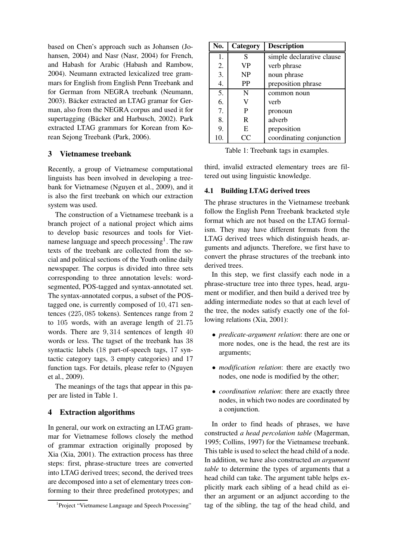based on Chen's approach such as Johansen (Johansen, 2004) and Nasr (Nasr, 2004) for French, and Habash for Arabic (Habash and Rambow, 2004). Neumann extracted lexicalized tree grammars for English from English Penn Treebank and for German from NEGRA treebank (Neumann, 2003). Bäcker extracted an LTAG gramar for German, also from the NEGRA corpus and used it for supertagging (Bäcker and Harbusch, 2002). Park extracted LTAG grammars for Korean from Korean Sejong Treebank (Park, 2006).

## **3 Vietnamese treebank**

Recently, a group of Vietnamese computational linguists has been involved in developing a treebank for Vietnamese (Nguyen et al., 2009), and it is also the first treebank on which our extraction system was used.

The construction of a Vietnamese treebank is a branch project of a national project which aims to develop basic resources and tools for Vietnamese language and speech processing<sup>1</sup>. The raw texts of the treebank are collected from the social and political sections of the Youth online daily newspaper. The corpus is divided into three sets corresponding to three annotation levels: wordsegmented, POS-tagged and syntax-annotated set. The syntax-annotated corpus, a subset of the POStagged one, is currently composed of 10, 471 sentences (225, 085 tokens). Sentences range from 2 to 105 words, with an average length of 21.75 words. There are 9, 314 sentences of length 40 words or less. The tagset of the treebank has 38 syntactic labels (18 part-of-speech tags, 17 syntactic category tags, 3 empty categories) and 17 function tags. For details, please refer to (Nguyen et al., 2009).

The meanings of the tags that appear in this paper are listed in Table 1.

## **4 Extraction algorithms**

In general, our work on extracting an LTAG grammar for Vietnamese follows closely the method of grammar extraction originally proposed by Xia (Xia, 2001). The extraction process has three steps: first, phrase-structure trees are converted into LTAG derived trees; second, the derived trees are decomposed into a set of elementary trees conforming to their three predefined prototypes; and

| No. | Category  | <b>Description</b>        |
|-----|-----------|---------------------------|
| 1.  | S         | simple declarative clause |
| 2.  | <b>VP</b> | verb phrase               |
| 3.  | <b>NP</b> | noun phrase               |
| 4.  | PP        | preposition phrase        |
| 5.  | N         | common noun               |
| 6.  | V         | verb                      |
| 7.  | P         | pronoun                   |
| 8.  | R         | adverb                    |
| 9.  | E         | preposition               |
| 10. | CC        | coordinating conjunction  |

Table 1: Treebank tags in examples.

third, invalid extracted elementary trees are filtered out using linguistic knowledge.

#### **4.1 Building LTAG derived trees**

The phrase structures in the Vietnamese treebank follow the English Penn Treebank bracketed style format which are not based on the LTAG formalism. They may have different formats from the LTAG derived trees which distinguish heads, arguments and adjuncts. Therefore, we first have to convert the phrase structures of the treebank into derived trees.

In this step, we first classify each node in a phrase-structure tree into three types, head, argument or modifier, and then build a derived tree by adding intermediate nodes so that at each level of the tree, the nodes satisfy exactly one of the following relations (Xia, 2001):

- *predicate-argument relation*: there are one or more nodes, one is the head, the rest are its arguments;
- *modification relation*: there are exactly two nodes, one node is modified by the other;
- *coordination relation*: there are exactly three nodes, in which two nodes are coordinated by a conjunction.

In order to find heads of phrases, we have constructed *a head percolation table* (Magerman, 1995; Collins, 1997) for the Vietnamese treebank. This table is used to select the head child of a node. In addition, we have also constructed *an argument table* to determine the types of arguments that a head child can take. The argument table helps explicitly mark each sibling of a head child as either an argument or an adjunct according to the tag of the sibling, the tag of the head child, and

<sup>&</sup>lt;sup>1</sup> Project "Vietnamese Language and Speech Processing"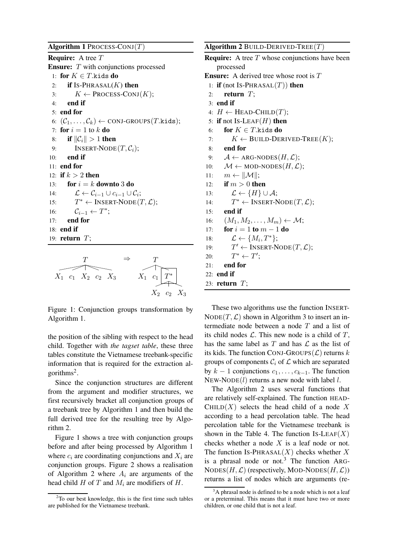#### **Algorithm 1** PROCESS-CONJ(T)

**Require:** A tree T **Ensure:** T with conjunctions processed 1: **for**  $K \in T$ .kids **do** 2: **if** IS-PHRASAL $(K)$  then 3:  $K \leftarrow$  PROCESS-CONJ(K); 4: **end if** 5: **end for** 6:  $(\mathcal{C}_1, \ldots, \mathcal{C}_k) \leftarrow \text{CONJ-GROUPS}(T.\text{kids});$ 7: **for**  $i = 1$  to  $k$  **do** 8: **if**  $||C_i|| > 1$  **then** 9: INSERT-NODE $(T, C_i)$ ; 10: **end if** 11: **end for** 12: **if**  $k > 2$  **then** 13: **for**  $i = k$  **downto** 3 **do** 14:  $\mathcal{L} \leftarrow \mathcal{C}_{i-1} \cup c_{i-1} \cup \mathcal{C}_i;$  $15:$  $T^* \leftarrow \text{INSERT-Node}(T, \mathcal{L});$ 16:  $\mathcal{C}_{i-1} \leftarrow T^*;$ 17: **end for** 18: **end if** 19: **return** T;



Figure 1: Conjunction groups transformation by Algorithm 1.

the position of the sibling with respect to the head child. Together with *the tagset table*, these three tables constitute the Vietnamese treebank-specific information that is required for the extraction algorithms<sup>2</sup>.

Since the conjunction structures are different from the argument and modifier structures, we first recursively bracket all conjunction groups of a treebank tree by Algorithm 1 and then build the full derived tree for the resulting tree by Algorithm 2.

Figure 1 shows a tree with conjunction groups before and after being processed by Algorithm 1 where  $c_i$  are coordinating conjunctions and  $X_i$  are conjunction groups. Figure 2 shows a realisation of Algorithm 2 where  $A_i$  are arguments of the head child H of T and  $M_i$  are modifiers of H.

**Algorithm 2** BUILD-DERIVED-TREE(T) **Require:** A tree T whose conjunctions have been processed **Ensure:** A derived tree whose root is T 1: **if** (not IS-PHRASAL $(T)$ ) **then** 2: **return** T; 3: **end if** 4:  $H \leftarrow \text{HEAD-CHILD}(T);$ 5: **if** not IS-LEAF $(H)$  **then** 6: **for**  $K \in T$ .kids **do** 7:  $K \leftarrow \text{BULD-DERIVED-TREE}(K);$ 8: **end for** 9:  $A \leftarrow ARG-NODES(H, \mathcal{L});$ 10:  $\mathcal{M} \leftarrow \text{MOD-NODES}(H, \mathcal{L});$ 11:  $m \leftarrow ||\mathcal{M}||;$ 12: **if**  $m > 0$  **then** 13:  $\mathcal{L} \leftarrow \{H\} \cup \mathcal{A};$  $14:$  $T^* \leftarrow \text{INSERT-Node}(T, \mathcal{L});$ 15: **end if** 16:  $(M_1, M_2, \ldots, M_m) \leftarrow \mathcal{M};$ 17: **for**  $i = 1$  **to**  $m - 1$  **do** 18:  $\mathcal{L} \leftarrow \{M_i, T^*\};$ 19:  $T' \leftarrow \text{INSERT-Node}(T, \mathcal{L});$  $20:$  $^* \leftarrow T';$ 21: **end for** 22: **end if** 23: **return** T;

These two algorithms use the function INSERT- $NODE(T, \mathcal{L})$  shown in Algorithm 3 to insert an intermediate node between a node  $T$  and a list of its child nodes  $\mathcal L$ . This new node is a child of  $T$ , has the same label as T and has  $\mathcal L$  as the list of its kids. The function CONJ-GROUPS $(\mathcal{L})$  returns k groups of components  $C_i$  of  $\mathcal L$  which are separated by  $k - 1$  conjunctions  $c_1, \ldots, c_{k-1}$ . The function NEW-NODE $(l)$  returns a new node with label l.

The Algorithm 2 uses several functions that are relatively self-explained. The function HEAD-CHILD $(X)$  selects the head child of a node X according to a head percolation table. The head percolation table for the Vietnamese treebank is shown in the Table 4. The function Is-LEAF(X) checks whether a node  $X$  is a leaf node or not. The function IS-PHRASAL $(X)$  checks whether X is a phrasal node or not.<sup>3</sup> The function ARG-NODES(H,  $\mathcal{L}$ ) (respectively, MOD-NODES(H,  $\mathcal{L}$ )) returns a list of nodes which are arguments (re-

 $2^2$ To our best knowledge, this is the first time such tables are published for the Vietnamese treebank.

 $3A$  phrasal node is defined to be a node which is not a leaf or a preterminal. This means that it must have two or more children, or one child that is not a leaf.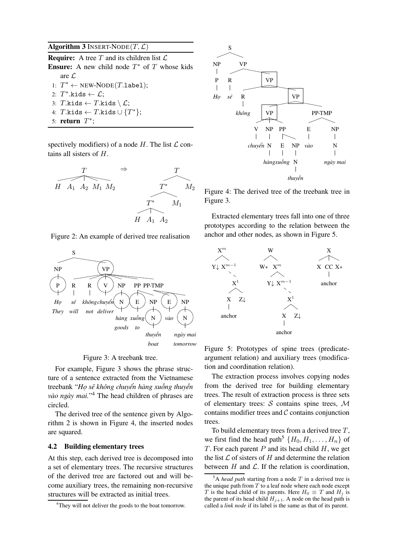## **Algorithm 3** INSERT-NODE $(T, \mathcal{L})$

**Require:** A tree  $T$  and its children list  $\mathcal{L}$ **Ensure:** A new child node  $T^*$  of  $T$  whose kids are L 1:  $T^*$  ← NEW-NODE(T.1abe1); 2:  $T^*$ .kids  $\leftarrow \mathcal{L}$ ; 3: T.kids  $\leftarrow$  T.kids  $\setminus \mathcal{L}$ ; 4:  $T.\mathtt{kids} \leftarrow T.\mathtt{kids} \cup \{T^\ast\};$ 5: **return**  $T^*$ ;

spectively modifiers) of a node  $H$ . The list  $\mathcal L$  contains all sisters of H.



Figure 2: An example of derived tree realisation





For example, Figure 3 shows the phrase structure of a sentence extracted from the Vietnamese treebank "*Họ sẽ không chuyển hàng xuống thuyền vào ngày mai.*" <sup>4</sup> The head children of phrases are circled.

The derived tree of the sentence given by Algorithm 2 is shown in Figure 4, the inserted nodes are squared.

#### **4.2 Building elementary trees**

At this step, each derived tree is decomposed into a set of elementary trees. The recursive structures of the derived tree are factored out and will become auxiliary trees, the remaining non-recursive structures will be extracted as initial trees.



Figure 4: The derived tree of the treebank tree in Figure 3.

Extracted elementary trees fall into one of three prototypes according to the relation between the anchor and other nodes, as shown in Figure 5.





The extraction process involves copying nodes from the derived tree for building elementary trees. The result of extraction process is three sets of elementary trees:  $S$  contains spine trees,  $M$ contains modifier trees and  $\mathcal C$  contains conjunction trees.

To build elementary trees from a derived tree  $T$ , we first find the head path<sup>5</sup>  $\{H_0, H_1, \ldots, H_n\}$  of T. For each parent  $P$  and its head child  $H$ , we get the list  $\mathcal L$  of sisters of H and determine the relation between  $H$  and  $\mathcal{L}$ . If the relation is coordination,

<sup>&</sup>lt;sup>4</sup>They will not deliver the goods to the boat tomorrow.

 $5A$  *head path* starting from a node  $T$  in a derived tree is the unique path from  $T$  to a leaf node where each node except T is the head child of its parents. Here  $H_0 \equiv T$  and  $H_i$  is the parent of its head child  $H_{j+1}$ . A node on the head path is called a *link node* if its label is the same as that of its parent.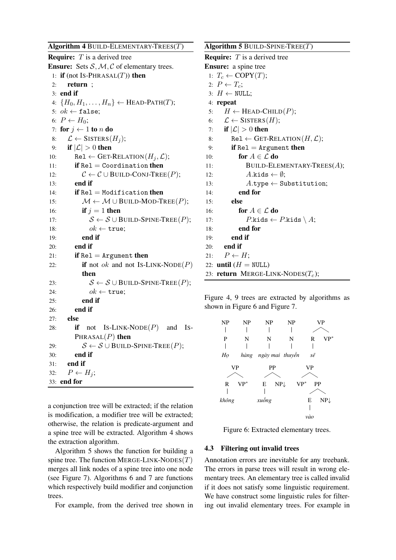**Algorithm 4** BUILD-ELEMENTARY-TREES(T) **Require:** T is a derived tree **Ensure:** Sets  $S, M, C$  of elementary trees. 1: **if** (not IS-PHRASAL $(T)$ ) **then** 2: **return** ; 3: **end if** 4:  ${H_0, H_1, \ldots, H_n} \leftarrow \text{HEAD-PATH}(T);$ 5:  $ok \leftarrow false;$ 6:  $P \leftarrow H_0$ ; 7: **for**  $j \leftarrow 1$  **to** n **do** 8:  $\mathcal{L} \leftarrow$  SISTERS $(H_i)$ ; 9: **if**  $|\mathcal{L}| > 0$  **then** 10: Rel ← GET-RELATION( $H_i, \mathcal{L}$ ); 11: **if** Rel = Coordination **then** 12:  $C \leftarrow C \cup \text{BUID-CONJ-Tree}(P);$ 13: **end if** 14: **if** Rel = Modification **then** 15:  $M \leftarrow M \cup B$ UILD-MOD-TREE $(P)$ ; 16: **if**  $j = 1$  **then** 17:  $S \leftarrow S \cup \text{BULL-SPINE-Tree}(P);$ 18:  $ok \leftarrow true;$ 19: **end if** 20: **end if** 21: **if**  $\text{Rel} = \text{Argument}$  **then** 22: **if** not *ok* and not IS-LINK-NODE $(P)$ **then** 23:  $S \leftarrow S \cup \text{BULL-SPINE-TREE}(P);$ 24:  $ok \leftarrow \text{true}$ ; 25: **end if** 26: **end if** 27: **else** 28: **if** not IS-LINK-NODE $(P)$  and IS-PHRASAL(P) **then** 29:  $S \leftarrow S \cup \text{BULL-SPINE-Tree}(P);$ 30: **end if** 31: **end if** 32:  $P \leftarrow H_i$ ; 33: **end for**

a conjunction tree will be extracted; if the relation is modification, a modifier tree will be extracted; otherwise, the relation is predicate-argument and a spine tree will be extracted. Algorithm 4 shows the extraction algorithm.

Algorithm 5 shows the function for building a spine tree. The function MERGE-LINK-NODES $(T)$ merges all link nodes of a spine tree into one node (see Figure 7). Algorithms 6 and 7 are functions which respectively build modifier and conjunction trees.

For example, from the derived tree shown in

**Algorithm 5** BUILD-SPINE-TREE(T) **Require:** T is a derived tree **Ensure:** a spine tree 1:  $T_c \leftarrow \text{COPY}(T);$ 2:  $P \leftarrow T_c$ ; 3:  $H \leftarrow \text{NULL}$ ; 4: **repeat** 5:  $H \leftarrow \text{HEAD-CHILD}(P);$ 6:  $\mathcal{L} \leftarrow$  SISTERS $(H)$ ; 7: **if**  $|\mathcal{L}| > 0$  **then** 8: Rel  $\leftarrow$  GET-RELATION( $H, \mathcal{L}$ ); 9: **if**  $\text{Rel} = \text{Argument}$  then 10: **for**  $A \in \mathcal{L}$  **do** 11: BUILD-ELEMENTARY-TREES $(A)$ ; 12:  $A.kids \leftarrow \emptyset;$ 13:  $A.\texttt{type} \leftarrow \texttt{Substitution};$ 14: **end for** 15: **else** 16: **for**  $A \in \mathcal{L}$  **do** 17:  $P_k$ ids  $\leftarrow$   $P_k$ ids  $\setminus$   $A$ ; 18: **end for** 19: **end if** 20: **end if** 21:  $P \leftarrow H$ ; 22: **until**  $(H = NULL)$ 23: **return** MERGE-LINK-NODES $(T_c)$ ;

Figure 4, 9 trees are extracted by algorithms as shown in Figure 6 and Figure 7.



Figure 6: Extracted elementary trees.

#### **4.3 Filtering out invalid trees**

Annotation errors are inevitable for any treebank. The errors in parse trees will result in wrong elementary trees. An elementary tree is called invalid if it does not satisfy some linguistic requirement. We have construct some linguistic rules for filtering out invalid elementary trees. For example in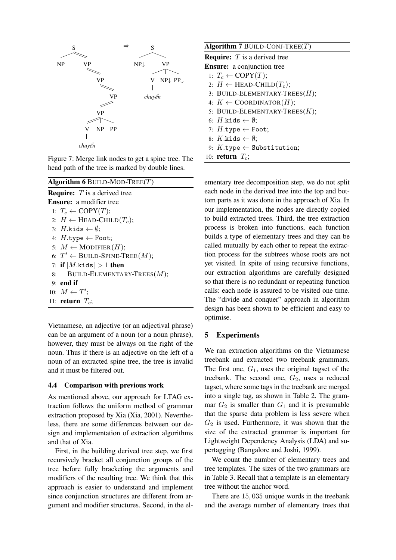

Figure 7: Merge link nodes to get a spine tree. The head path of the tree is marked by double lines.

## **Algorithm 6** BUILD-MOD-TREE(T) **Require:** T is a derived tree **Ensure:** a modifier tree 1:  $T_c \leftarrow \text{COPY}(T);$ 2:  $H \leftarrow$  HEAD-CHILD $(T_c)$ ; 3:  $H$ .kids  $\leftarrow \emptyset$ ; 4:  $H.\texttt{type} \leftarrow \texttt{foot};$ 5:  $M \leftarrow \text{MODIFIER}(H);$ 6:  $T' \leftarrow$  BUILD-SPINE-TREE $(M)$ ; 7: **if**  $|M$ .kids  $| > 1$  **then** 8: BUILD-ELEMENTARY-TREES $(M)$ ; 9: **end if** 10:  $M \leftarrow T'$ ; 11: **return**  $T_c$ ;

Vietnamese, an adjective (or an adjectival phrase) can be an argument of a noun (or a noun phrase), however, they must be always on the right of the noun. Thus if there is an adjective on the left of a noun of an extracted spine tree, the tree is invalid and it must be filtered out.

#### **4.4 Comparison with previous work**

As mentioned above, our approach for LTAG extraction follows the uniform method of grammar extraction proposed by Xia (Xia, 2001). Nevertheless, there are some differences between our design and implementation of extraction algorithms and that of Xia.

First, in the building derived tree step, we first recursively bracket all conjunction groups of the tree before fully bracketing the arguments and modifiers of the resulting tree. We think that this approach is easier to understand and implement since conjunction structures are different from argument and modifier structures. Second, in the el-

| Algorithm $7$ BUILD-CONJ-TREE(T)                       |  |  |  |  |
|--------------------------------------------------------|--|--|--|--|
| <b>Require:</b> $T$ is a derived tree                  |  |  |  |  |
| <b>Ensure:</b> a conjunction tree                      |  |  |  |  |
| 1: $T_c \leftarrow \text{COPY}(T);$                    |  |  |  |  |
| 2: $H \leftarrow$ HEAD-CHILD( $T_c$ );                 |  |  |  |  |
| 3: BUILD-ELEMENTARY-TREES( $H$ );                      |  |  |  |  |
| 4: $K \leftarrow \text{COORDINATOR}(H);$               |  |  |  |  |
| 5: BUILD-ELEMENTARY-TREES $(K);$                       |  |  |  |  |
| 6: H.kids $\leftarrow \emptyset$ ;                     |  |  |  |  |
| 7: $H.\texttt{type} \leftarrow \texttt{foot};$         |  |  |  |  |
| 8: $K$ kids $\leftarrow \emptyset$ ;                   |  |  |  |  |
| 9: $K.\texttt{type} \leftarrow \texttt{Substitution};$ |  |  |  |  |
| 10: return $T_c$ ;                                     |  |  |  |  |
|                                                        |  |  |  |  |

ementary tree decomposition step, we do not split each node in the derived tree into the top and bottom parts as it was done in the approach of Xia. In our implementation, the nodes are directly copied to build extracted trees. Third, the tree extraction process is broken into functions, each function builds a type of elementary trees and they can be called mutually by each other to repeat the extraction process for the subtrees whose roots are not yet visited. In spite of using recursive functions, our extraction algorithms are carefully designed so that there is no redundant or repeating function calls: each node is assured to be visited one time. The "divide and conquer" approach in algorithm design has been shown to be efficient and easy to optimise.

## **5 Experiments**

We ran extraction algorithms on the Vietnamese treebank and extracted two treebank grammars. The first one,  $G_1$ , uses the original tagset of the treebank. The second one,  $G_2$ , uses a reduced tagset, where some tags in the treebank are merged into a single tag, as shown in Table 2. The grammar  $G_2$  is smaller than  $G_1$  and it is presumable that the sparse data problem is less severe when  $G_2$  is used. Furthermore, it was shown that the size of the extracted grammar is important for Lightweight Dependency Analysis (LDA) and supertagging (Bangalore and Joshi, 1999).

We count the number of elementary trees and tree templates. The sizes of the two grammars are in Table 3. Recall that a template is an elementary tree without the anchor word.

There are 15, 035 unique words in the treebank and the average number of elementary trees that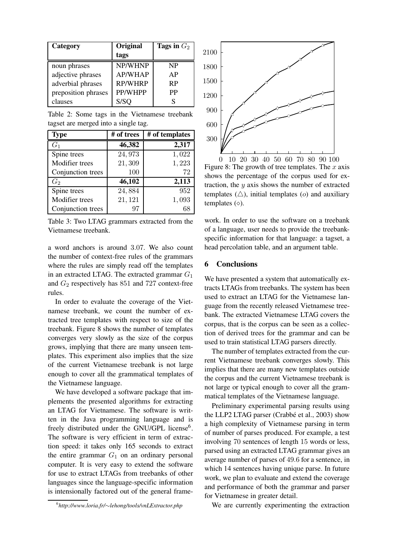| Category            | Original       | Tags in $G_2$ |
|---------------------|----------------|---------------|
|                     | tags           |               |
| noun phrases        | NP/WHNP        | NP            |
| adjective phrases   | <b>AP/WHAP</b> | AP            |
| adverbial phrases   | <b>RP/WHRP</b> | <b>RP</b>     |
| preposition phrases | PP/WHPP        | PP            |
| clauses             | S/SQ           |               |

Table 2: Some tags in the Vietnamese treebank tagset are merged into a single tag.

| <b>Type</b>       | # of trees | # of templates |
|-------------------|------------|----------------|
| G <sub>1</sub>    | 46,382     | 2,317          |
| Spine trees       | 24,973     | 1,022          |
| Modifier trees    | 21,309     | 1,223          |
| Conjunction trees | 100        | 72             |
| $G_2$             | 46,102     | 2,113          |
| Spine trees       | 24,884     | 952            |
| Modifier trees    | 21, 121    | 1,093          |
| Conjunction trees | 97         | 68             |

Table 3: Two LTAG grammars extracted from the Vietnamese treebank.

a word anchors is around 3.07. We also count the number of context-free rules of the grammars where the rules are simply read off the templates in an extracted LTAG. The extracted grammar  $G_1$ and G2 respectively has 851 and 727 context-free rules.

In order to evaluate the coverage of the Vietnamese treebank, we count the number of extracted tree templates with respect to size of the treebank. Figure 8 shows the number of templates converges very slowly as the size of the corpus grows, implying that there are many unseen templates. This experiment also implies that the size of the current Vietnamese treebank is not large enough to cover all the grammatical templates of the Vietnamese language.

We have developed a software package that implements the presented algorithms for extracting an LTAG for Vietnamese. The software is written in the Java programming language and is freely distributed under the GNU/GPL license<sup>6</sup>. The software is very efficient in term of extraction speed: it takes only 165 seconds to extract the entire grammar  $G_1$  on an ordinary personal computer. It is very easy to extend the software for use to extract LTAGs from treebanks of other languages since the language-specific information is intensionally factored out of the general frame-



Figure 8: The growth of tree templates. The  $x$  axis shows the percentage of the corpus used for extraction, the  $y$  axis shows the number of extracted templates  $(\triangle)$ , initial templates  $(o)$  and auxiliary templates  $( \diamond ).$ 

work. In order to use the software on a treebank of a language, user needs to provide the treebankspecific information for that language: a tagset, a head percolation table, and an argument table.

#### **6 Conclusions**

We have presented a system that automatically extracts LTAGs from treebanks. The system has been used to extract an LTAG for the Vietnamese language from the recently released Vietnamese treebank. The extracted Vietnamese LTAG covers the corpus, that is the corpus can be seen as a collection of derived trees for the grammar and can be used to train statistical LTAG parsers directly.

The number of templates extracted from the current Vietnamese treebank converges slowly. This implies that there are many new templates outside the corpus and the current Vietnamese treebank is not large or typical enough to cover all the grammatical templates of the Vietnamese language.

Preliminary experimental parsing results using the LLP2 LTAG parser (Crabbé et al., 2003) show a high complexity of Vietnamese parsing in term of number of parses produced. For example, a test involving 70 sentences of length 15 words or less, parsed using an extracted LTAG grammar gives an average number of parses of 49.6 for a sentence, in which 14 sentences having unique parse. In future work, we plan to evaluate and extend the coverage and performance of both the grammar and parser for Vietnamese in greater detail.

We are currently experimenting the extraction

<sup>6</sup> *http://www.loria.fr/*∼*lehong/tools/vnLExtractor.php*